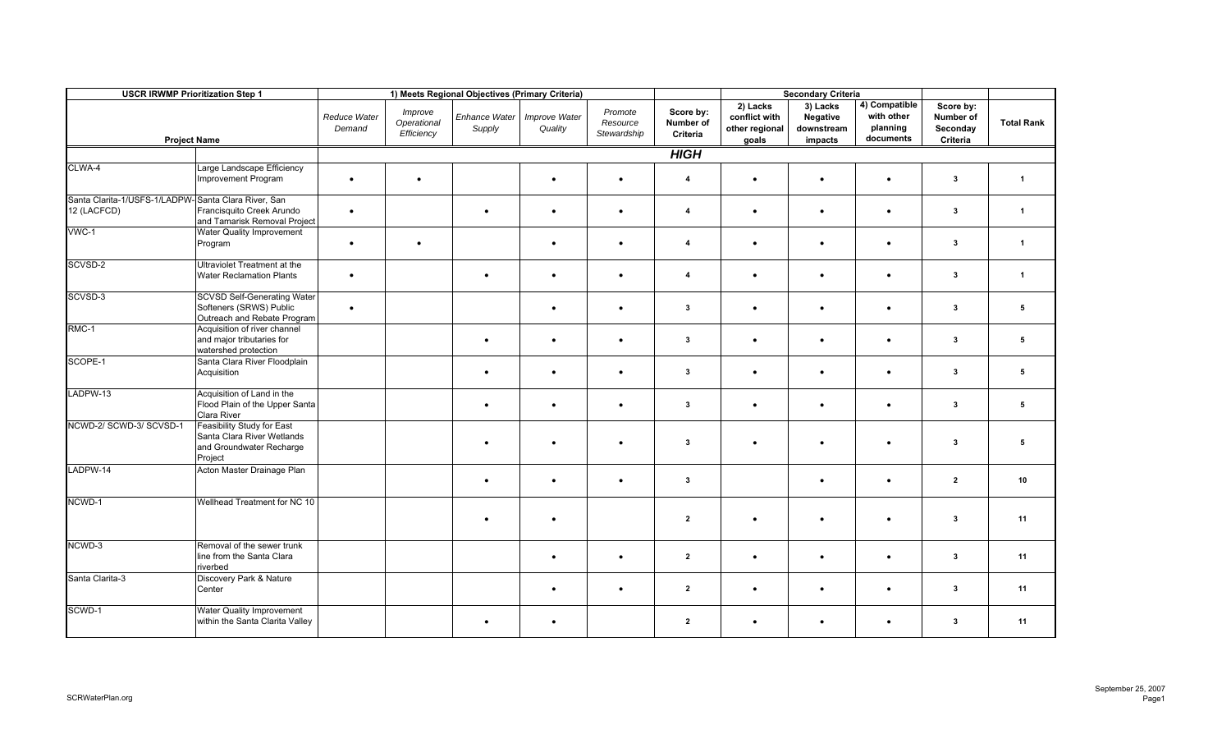| <b>USCR IRWMP Prioritization Step 1</b>                            |                                                                                                 |                        |                                      | 1) Meets Regional Objectives (Primary Criteria) |                          |                                    |                                    | <b>Secondary Criteria</b>                            |                                               |                                                      |                                                |                   |
|--------------------------------------------------------------------|-------------------------------------------------------------------------------------------------|------------------------|--------------------------------------|-------------------------------------------------|--------------------------|------------------------------------|------------------------------------|------------------------------------------------------|-----------------------------------------------|------------------------------------------------------|------------------------------------------------|-------------------|
| <b>Project Name</b>                                                |                                                                                                 | Reduce Water<br>Demand | Improve<br>Operational<br>Efficiency | Enhance Water<br>Supply                         | Improve Water<br>Quality | Promote<br>Resource<br>Stewardship | Score by:<br>Number of<br>Criteria | 2) Lacks<br>conflict with<br>other regional<br>goals | 3) Lacks<br>Negative<br>downstream<br>impacts | 4) Compatible<br>with other<br>planning<br>documents | Score by:<br>Number of<br>Seconday<br>Criteria | <b>Total Rank</b> |
|                                                                    |                                                                                                 | <b>HIGH</b>            |                                      |                                                 |                          |                                    |                                    |                                                      |                                               |                                                      |                                                |                   |
| CLWA-4                                                             | Large Landscape Efficiency<br>Improvement Program                                               | $\bullet$              | $\bullet$                            |                                                 | $\bullet$                | $\bullet$                          | $\overline{4}$                     | $\bullet$                                            | $\bullet$                                     | $\bullet$                                            | $\mathbf{3}$                                   | $\overline{1}$    |
| Santa Clarita-1/USFS-1/LADPW-Santa Clara River, San<br>12 (LACFCD) | Francisquito Creek Arundo<br>and Tamarisk Removal Project                                       | $\bullet$              |                                      | $\bullet$                                       | $\bullet$                | $\bullet$                          | $\overline{4}$                     | $\bullet$                                            | $\bullet$                                     | $\bullet$                                            | $\mathbf{3}$                                   | $\overline{1}$    |
| $VWC-1$                                                            | <b>Water Quality Improvement</b><br>Program                                                     | $\bullet$              | $\bullet$                            |                                                 | $\bullet$                |                                    | $\overline{4}$                     | $\bullet$                                            | $\bullet$                                     | $\bullet$                                            | $\mathbf{3}$                                   | $\mathbf{1}$      |
| SCVSD-2                                                            | Ultraviolet Treatment at the<br><b>Water Reclamation Plants</b>                                 | $\bullet$              |                                      | $\bullet$                                       | $\bullet$                | $\bullet$                          | 4                                  | $\bullet$                                            | $\bullet$                                     | $\bullet$                                            | $\mathbf{3}$                                   | $\overline{1}$    |
| SCVSD-3                                                            | <b>SCVSD Self-Generating Water</b><br>Softeners (SRWS) Public<br>Outreach and Rebate Program    | $\bullet$              |                                      |                                                 | $\bullet$                |                                    | $\mathbf{3}$                       | $\bullet$                                            | $\bullet$                                     | $\bullet$                                            | $\overline{\mathbf{3}}$                        | 5                 |
| RMC-1                                                              | Acquisition of river channel<br>and major tributaries for<br>watershed protection               |                        |                                      | $\bullet$                                       | $\bullet$                | $\bullet$                          | $\mathbf{3}$                       | $\bullet$                                            | $\bullet$                                     | $\bullet$                                            | $\mathbf{3}$                                   | 5                 |
| SCOPE-1                                                            | Santa Clara River Floodplain<br>Acquisition                                                     |                        |                                      | $\bullet$                                       | $\bullet$                | $\bullet$                          | $\mathbf{3}$                       | $\bullet$                                            | $\bullet$                                     | $\bullet$                                            | 3                                              | 5                 |
| LADPW-13                                                           | Acquisition of Land in the<br>Flood Plain of the Upper Santa<br>Clara River                     |                        |                                      | $\bullet$                                       | $\bullet$                | $\bullet$                          | $\mathbf{3}$                       | $\bullet$                                            | $\bullet$                                     | $\bullet$                                            | $\mathbf{3}$                                   | 5                 |
| NCWD-2/ SCWD-3/ SCVSD-1                                            | Feasibility Study for East<br>Santa Clara River Wetlands<br>and Groundwater Recharge<br>Project |                        |                                      |                                                 | $\bullet$                |                                    | $\mathbf{3}$                       | $\bullet$                                            | ٠                                             | $\bullet$                                            | 3                                              | 5                 |
| LADPW-14                                                           | Acton Master Drainage Plan                                                                      |                        |                                      | $\bullet$                                       | $\bullet$                | $\bullet$                          | $\mathbf{3}$                       |                                                      | $\bullet$                                     | $\bullet$                                            | $\overline{2}$                                 | 10                |
| NCWD-1                                                             | Wellhead Treatment for NC 10                                                                    |                        |                                      |                                                 | $\bullet$                |                                    | $\mathbf{2}$                       | $\bullet$                                            | ٠                                             |                                                      | 3                                              | 11                |
| NCWD-3                                                             | Removal of the sewer trunk<br>line from the Santa Clara<br>riverbed                             |                        |                                      |                                                 | $\bullet$                | $\bullet$                          | $\overline{2}$                     | $\bullet$                                            | $\bullet$                                     | $\bullet$                                            | $\mathbf{3}$                                   | 11                |
| Santa Clarita-3                                                    | Discovery Park & Nature<br>Center                                                               |                        |                                      |                                                 | $\bullet$                |                                    | $\overline{2}$                     | $\bullet$                                            | $\bullet$                                     |                                                      | 3                                              | 11                |
| SCWD-1                                                             | <b>Water Quality Improvement</b><br>within the Santa Clarita Valley                             |                        |                                      | $\bullet$                                       | $\bullet$                |                                    | $\overline{2}$                     | $\bullet$                                            | $\bullet$                                     | $\bullet$                                            | $\mathbf{3}$                                   | 11                |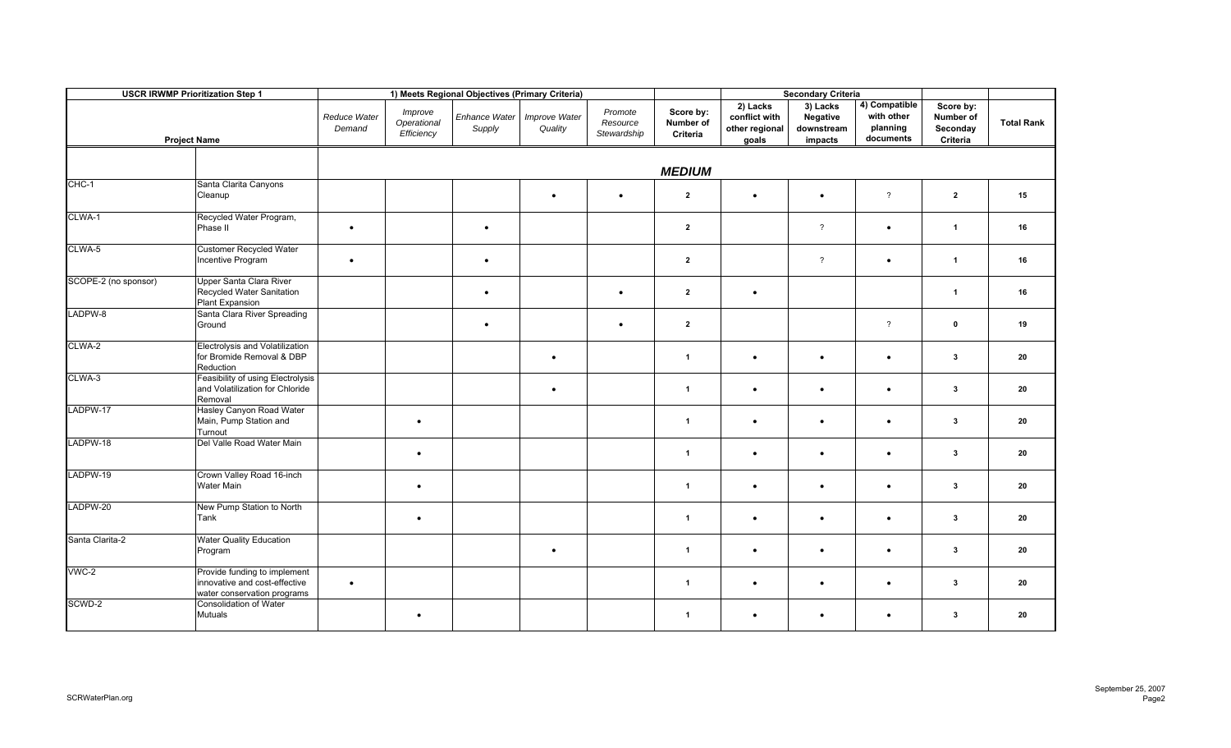| <b>USCR IRWMP Prioritization Step 1</b><br><b>Project Name</b> |                                                                                              |                        |                                      | 1) Meets Regional Objectives (Primary Criteria) |                          |                                    | <b>Secondary Criteria</b>          |                                                      |                                               |                                                      |                                                |                   |
|----------------------------------------------------------------|----------------------------------------------------------------------------------------------|------------------------|--------------------------------------|-------------------------------------------------|--------------------------|------------------------------------|------------------------------------|------------------------------------------------------|-----------------------------------------------|------------------------------------------------------|------------------------------------------------|-------------------|
|                                                                |                                                                                              | Reduce Water<br>Demand | Improve<br>Operational<br>Efficiency | Enhance Water<br>Supply                         | Improve Water<br>Quality | Promote<br>Resource<br>Stewardship | Score by:<br>Number of<br>Criteria | 2) Lacks<br>conflict with<br>other regional<br>goals | 3) Lacks<br>Negative<br>downstream<br>impacts | 4) Compatible<br>with other<br>planning<br>documents | Score by:<br>Number of<br>Seconday<br>Criteria | <b>Total Rank</b> |
|                                                                |                                                                                              |                        |                                      |                                                 |                          |                                    | <b>MEDIUM</b>                      |                                                      |                                               |                                                      |                                                |                   |
| CHC-1                                                          | Santa Clarita Canyons<br>Cleanup                                                             |                        |                                      |                                                 | $\bullet$                | $\bullet$                          | $\overline{2}$                     | $\bullet$                                            |                                               | $\overline{?}$                                       | $\overline{2}$                                 | 15                |
| CLWA-1                                                         | Recycled Water Program,<br>Phase II                                                          | $\bullet$              |                                      | $\bullet$                                       |                          |                                    | $\overline{2}$                     |                                                      | $\overline{?}$                                | $\bullet$                                            | $\overline{1}$                                 | 16                |
| CLWA-5                                                         | <b>Customer Recycled Water</b><br>Incentive Program                                          | $\bullet$              |                                      | $\bullet$                                       |                          |                                    | $\overline{2}$                     |                                                      | $\overline{?}$                                | $\bullet$                                            | $\overline{1}$                                 | 16                |
| SCOPE-2 (no sponsor)                                           | Upper Santa Clara River<br>Recycled Water Sanitation<br>Plant Expansion                      |                        |                                      | $\bullet$                                       |                          |                                    | $\overline{2}$                     | $\bullet$                                            |                                               |                                                      | $\overline{1}$                                 | 16                |
| LADPW-8                                                        | Santa Clara River Spreading<br>Ground                                                        |                        |                                      | $\bullet$                                       |                          | $\bullet$                          | $\overline{2}$                     |                                                      |                                               | $\overline{?}$                                       | $\mathbf 0$                                    | 19                |
| CLWA-2                                                         | Electrolysis and Volatilization<br>for Bromide Removal & DBP<br>Reduction                    |                        |                                      |                                                 | $\bullet$                |                                    | $\mathbf{1}$                       | $\bullet$                                            | $\bullet$                                     | $\bullet$                                            | $\mathbf{3}$                                   | 20                |
| CLWA-3                                                         | Feasibility of using Electrolysis<br>and Volatilization for Chloride<br>Removal              |                        |                                      |                                                 | $\bullet$                |                                    | $\mathbf{1}$                       | $\bullet$                                            | $\bullet$                                     | $\bullet$                                            | $\mathbf{3}$                                   | 20                |
| LADPW-17                                                       | Hasley Canyon Road Water<br>Main, Pump Station and<br>Turnout                                |                        | $\bullet$                            |                                                 |                          |                                    | $\mathbf{1}$                       | $\bullet$                                            |                                               |                                                      | $\mathbf{3}$                                   | 20                |
| LADPW-18                                                       | Del Valle Road Water Main                                                                    |                        | $\bullet$                            |                                                 |                          |                                    | $\blacktriangleleft$               | $\bullet$                                            | $\bullet$                                     | $\bullet$                                            | 3                                              | 20                |
| LADPW-19                                                       | Crown Valley Road 16-inch<br><b>Water Main</b>                                               |                        | $\bullet$                            |                                                 |                          |                                    | $\blacktriangleleft$               | $\bullet$                                            | $\bullet$                                     | $\bullet$                                            | $\mathbf{3}$                                   | 20                |
| LADPW-20                                                       | New Pump Station to North<br>Tank                                                            |                        | $\bullet$                            |                                                 |                          |                                    | $\mathbf{1}$                       | $\bullet$                                            | $\bullet$                                     | $\bullet$                                            | $\mathbf{3}$                                   | 20                |
| Santa Clarita-2                                                | <b>Water Quality Education</b><br>Program                                                    |                        |                                      |                                                 | $\bullet$                |                                    | $\mathbf{1}$                       | $\bullet$                                            | $\bullet$                                     | $\bullet$                                            | $\mathbf{3}$                                   | 20                |
| $VWC-2$                                                        | Provide funding to implement<br>innovative and cost-effective<br>water conservation programs | $\bullet$              |                                      |                                                 |                          |                                    | $\mathbf{1}$                       | $\bullet$                                            | $\bullet$                                     | $\bullet$                                            | 3                                              | 20                |
| SCWD-2                                                         | Consolidation of Water<br>Mutuals                                                            |                        | $\bullet$                            |                                                 |                          |                                    | $\mathbf{1}$                       | ٠                                                    | $\bullet$                                     |                                                      | 3                                              | 20                |